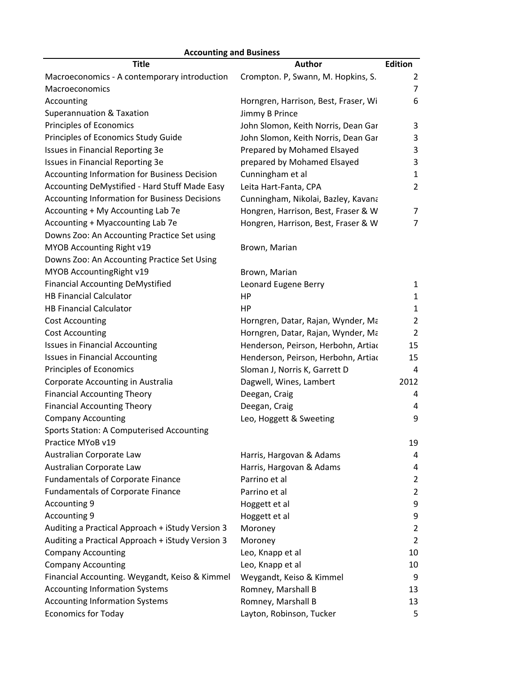| <b>Accounting and Business</b>                   |                                      |                |  |
|--------------------------------------------------|--------------------------------------|----------------|--|
| <b>Title</b>                                     | Author                               | <b>Edition</b> |  |
| Macroeconomics - A contemporary introduction     | Crompton. P, Swann, M. Hopkins, S.   | 2              |  |
| <b>Macroeconomics</b>                            |                                      | $\overline{7}$ |  |
| Accounting                                       | Horngren, Harrison, Best, Fraser, Wi | 6              |  |
| Superannuation & Taxation                        | Jimmy B Prince                       |                |  |
| Principles of Economics                          | John Slomon, Keith Norris, Dean Gar  | 3              |  |
| Principles of Economics Study Guide              | John Slomon, Keith Norris, Dean Gar  | 3              |  |
| Issues in Financial Reporting 3e                 | Prepared by Mohamed Elsayed          | 3              |  |
| Issues in Financial Reporting 3e                 | prepared by Mohamed Elsayed          | 3              |  |
| Accounting Information for Business Decision     | Cunningham et al                     | $\mathbf{1}$   |  |
| Accounting DeMystified - Hard Stuff Made Easy    | Leita Hart-Fanta, CPA                | $\overline{2}$ |  |
| Accounting Information for Business Decisions    | Cunningham, Nikolai, Bazley, Kavana  |                |  |
| Accounting + My Accounting Lab 7e                | Hongren, Harrison, Best, Fraser & W  | 7              |  |
| Accounting + Myaccounting Lab 7e                 | Hongren, Harrison, Best, Fraser & W  | $\overline{7}$ |  |
| Downs Zoo: An Accounting Practice Set using      |                                      |                |  |
| MYOB Accounting Right v19                        | Brown, Marian                        |                |  |
| Downs Zoo: An Accounting Practice Set Using      |                                      |                |  |
| MYOB Accounting Right v19                        | Brown, Marian                        |                |  |
| <b>Financial Accounting DeMystified</b>          | Leonard Eugene Berry                 | $\mathbf{1}$   |  |
| <b>HB Financial Calculator</b>                   | HP                                   | $\mathbf{1}$   |  |
| <b>HB Financial Calculator</b>                   | <b>HP</b>                            | 1              |  |
| <b>Cost Accounting</b>                           | Horngren, Datar, Rajan, Wynder, Ma   | 2              |  |
| <b>Cost Accounting</b>                           | Horngren, Datar, Rajan, Wynder, Ma   | $\overline{2}$ |  |
| <b>Issues in Financial Accounting</b>            | Henderson, Peirson, Herbohn, Artiac  | 15             |  |
| <b>Issues in Financial Accounting</b>            | Henderson, Peirson, Herbohn, Artiac  | 15             |  |
| Principles of Economics                          | Sloman J, Norris K, Garrett D        | 4              |  |
| Corporate Accounting in Australia                | Dagwell, Wines, Lambert              | 2012           |  |
| <b>Financial Accounting Theory</b>               | Deegan, Craig                        | 4              |  |
| <b>Financial Accounting Theory</b>               | Deegan, Craig                        | 4              |  |
| <b>Company Accounting</b>                        | Leo, Hoggett & Sweeting              | 9              |  |
| <b>Sports Station: A Computerised Accounting</b> |                                      |                |  |
| Practice MYoB v19                                |                                      | 19             |  |
| Australian Corporate Law                         | Harris, Hargovan & Adams             | 4              |  |
| Australian Corporate Law                         | Harris, Hargovan & Adams             | 4              |  |
| <b>Fundamentals of Corporate Finance</b>         | Parrino et al                        | 2              |  |
| <b>Fundamentals of Corporate Finance</b>         | Parrino et al                        | $\overline{2}$ |  |
| Accounting 9                                     | Hoggett et al                        | 9              |  |
| Accounting 9                                     | Hoggett et al                        | 9              |  |
| Auditing a Practical Approach + iStudy Version 3 | Moroney                              | $\overline{2}$ |  |
| Auditing a Practical Approach + iStudy Version 3 | Moroney                              | 2              |  |
| <b>Company Accounting</b>                        | Leo, Knapp et al                     | 10             |  |
| <b>Company Accounting</b>                        | Leo, Knapp et al                     | 10             |  |
| Financial Accounting. Weygandt, Keiso & Kimmel   | Weygandt, Keiso & Kimmel             | 9              |  |
| <b>Accounting Information Systems</b>            | Romney, Marshall B                   | 13             |  |
| <b>Accounting Information Systems</b>            | Romney, Marshall B                   | 13             |  |
| <b>Economics for Today</b>                       | Layton, Robinson, Tucker             | 5              |  |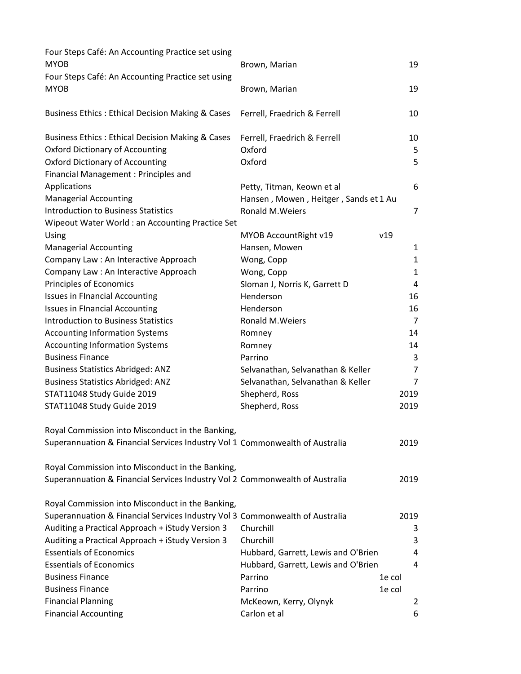| Four Steps Café: An Accounting Practice set using<br><b>MYOB</b>             | Brown, Marian                         | 19             |
|------------------------------------------------------------------------------|---------------------------------------|----------------|
| Four Steps Café: An Accounting Practice set using                            |                                       |                |
| <b>MYOB</b>                                                                  | Brown, Marian                         | 19             |
| <b>Business Ethics: Ethical Decision Making &amp; Cases</b>                  | Ferrell, Fraedrich & Ferrell          | 10             |
| <b>Business Ethics: Ethical Decision Making &amp; Cases</b>                  | Ferrell, Fraedrich & Ferrell          | 10             |
| <b>Oxford Dictionary of Accounting</b>                                       | Oxford                                | 5              |
| <b>Oxford Dictionary of Accounting</b>                                       | Oxford                                | 5              |
| Financial Management : Principles and                                        |                                       |                |
| Applications                                                                 | Petty, Titman, Keown et al            | 6              |
| <b>Managerial Accounting</b>                                                 | Hansen, Mowen, Heitger, Sands et 1 Au |                |
| <b>Introduction to Business Statistics</b>                                   | <b>Ronald M. Weiers</b>               | $\overline{7}$ |
| Wipeout Water World: an Accounting Practice Set                              |                                       |                |
| Using                                                                        | MYOB AccountRight v19                 | v19            |
| <b>Managerial Accounting</b>                                                 | Hansen, Mowen                         | 1              |
| Company Law: An Interactive Approach                                         | Wong, Copp                            | 1              |
| Company Law : An Interactive Approach                                        | Wong, Copp                            | 1              |
| Principles of Economics                                                      | Sloman J, Norris K, Garrett D         | 4              |
| <b>Issues in Financial Accounting</b>                                        | Henderson                             | 16             |
| <b>Issues in Financial Accounting</b>                                        | Henderson                             | 16             |
| <b>Introduction to Business Statistics</b>                                   | Ronald M. Weiers                      | $\overline{7}$ |
| <b>Accounting Information Systems</b>                                        | Romney                                | 14             |
| <b>Accounting Information Systems</b>                                        | Romney                                | 14             |
| <b>Business Finance</b>                                                      | Parrino                               | 3              |
| <b>Business Statistics Abridged: ANZ</b>                                     | Selvanathan, Selvanathan & Keller     | 7              |
| <b>Business Statistics Abridged: ANZ</b>                                     | Selvanathan, Selvanathan & Keller     | $\overline{7}$ |
| STAT11048 Study Guide 2019                                                   | Shepherd, Ross                        | 2019           |
| STAT11048 Study Guide 2019                                                   | Shepherd, Ross                        | 2019           |
| Royal Commission into Misconduct in the Banking,                             |                                       |                |
| Superannuation & Financial Services Industry Vol 1 Commonwealth of Australia |                                       | 2019           |
| Royal Commission into Misconduct in the Banking,                             |                                       |                |
| Superannuation & Financial Services Industry Vol 2 Commonwealth of Australia |                                       | 2019           |
| Royal Commission into Misconduct in the Banking,                             |                                       |                |
| Superannuation & Financial Services Industry Vol 3 Commonwealth of Australia |                                       | 2019           |
| Auditing a Practical Approach + iStudy Version 3                             | Churchill                             | 3              |
| Auditing a Practical Approach + iStudy Version 3                             | Churchill                             | 3              |
| <b>Essentials of Economics</b>                                               | Hubbard, Garrett, Lewis and O'Brien   | 4              |
| <b>Essentials of Economics</b>                                               | Hubbard, Garrett, Lewis and O'Brien   | 4              |
| <b>Business Finance</b>                                                      | Parrino                               | 1e col         |
| <b>Business Finance</b>                                                      | Parrino                               | 1e col         |
| <b>Financial Planning</b>                                                    | McKeown, Kerry, Olynyk                | 2              |
| <b>Financial Accounting</b>                                                  | Carlon et al                          | 6              |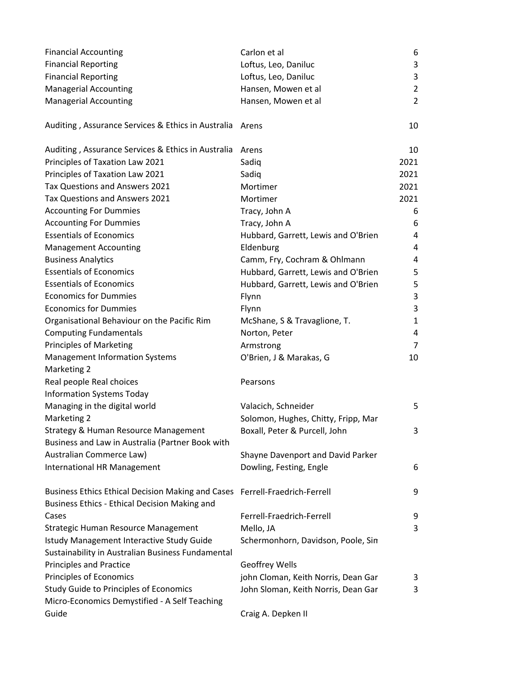| <b>Financial Accounting</b>  | Carlon et al         | b. |
|------------------------------|----------------------|----|
| <b>Financial Reporting</b>   | Loftus, Leo, Daniluc |    |
| <b>Financial Reporting</b>   | Loftus, Leo, Daniluc |    |
| Managerial Accounting        | Hansen, Mowen et al  |    |
| <b>Managerial Accounting</b> | Hansen, Mowen et al  |    |

Auditing, Assurance Services & Ethics in Australia Arens 10

| Auditing, Assurance Services & Ethics in Australia                          | Arens                               | 10             |
|-----------------------------------------------------------------------------|-------------------------------------|----------------|
| Principles of Taxation Law 2021                                             | Sadiq                               | 2021           |
| Principles of Taxation Law 2021                                             | Sadiq                               | 2021           |
| Tax Questions and Answers 2021                                              | Mortimer                            | 2021           |
| Tax Questions and Answers 2021                                              | Mortimer                            | 2021           |
| <b>Accounting For Dummies</b>                                               | Tracy, John A                       | 6              |
| <b>Accounting For Dummies</b>                                               | Tracy, John A                       | 6              |
| <b>Essentials of Economics</b>                                              | Hubbard, Garrett, Lewis and O'Brien | 4              |
| <b>Management Accounting</b>                                                | Eldenburg                           | 4              |
| <b>Business Analytics</b>                                                   | Camm, Fry, Cochram & Ohlmann        | 4              |
| <b>Essentials of Economics</b>                                              | Hubbard, Garrett, Lewis and O'Brien | 5              |
| <b>Essentials of Economics</b>                                              | Hubbard, Garrett, Lewis and O'Brien | 5              |
| <b>Economics for Dummies</b>                                                | Flynn                               | 3              |
| <b>Economics for Dummies</b>                                                | Flynn                               | 3              |
| Organisational Behaviour on the Pacific Rim                                 | McShane, S & Travaglione, T.        | 1              |
| <b>Computing Fundamentals</b>                                               | Norton, Peter                       | 4              |
| Principles of Marketing                                                     | Armstrong                           | $\overline{7}$ |
| <b>Management Information Systems</b>                                       | O'Brien, J & Marakas, G             | 10             |
| Marketing 2                                                                 |                                     |                |
| Real people Real choices                                                    | Pearsons                            |                |
| <b>Information Systems Today</b>                                            |                                     |                |
| Managing in the digital world                                               | Valacich, Schneider                 | 5              |
| Marketing 2                                                                 | Solomon, Hughes, Chitty, Fripp, Mar |                |
| Strategy & Human Resource Management                                        | Boxall, Peter & Purcell, John       | 3              |
| Business and Law in Australia (Partner Book with                            |                                     |                |
| Australian Commerce Law)                                                    | Shayne Davenport and David Parker   |                |
| International HR Management                                                 | Dowling, Festing, Engle             | 6              |
| Business Ethics Ethical Decision Making and Cases Ferrell-Fraedrich-Ferrell |                                     | 9              |
| Business Ethics - Ethical Decision Making and                               |                                     |                |
| Cases                                                                       | Ferrell-Fraedrich-Ferrell           | 9              |
| Strategic Human Resource Management                                         | Mello, JA                           | 3              |
| Istudy Management Interactive Study Guide                                   | Schermonhorn, Davidson, Poole, Sin  |                |
| Sustainability in Australian Business Fundamental                           |                                     |                |
| <b>Principles and Practice</b>                                              | Geoffrey Wells                      |                |
| Principles of Economics                                                     | john Cloman, Keith Norris, Dean Gar | 3              |
| <b>Study Guide to Principles of Economics</b>                               | John Sloman, Keith Norris, Dean Gar | 3              |
| Micro-Economics Demystified - A Self Teaching                               |                                     |                |

Guide **Craig A. Depken II**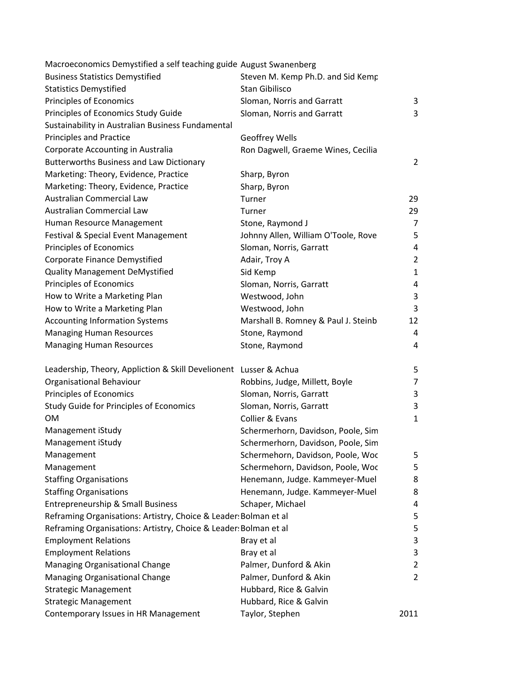| Macroeconomics Demystified a self teaching guide August Swanenberg |                                     |                |
|--------------------------------------------------------------------|-------------------------------------|----------------|
| <b>Business Statistics Demystified</b>                             | Steven M. Kemp Ph.D. and Sid Kemp   |                |
| <b>Statistics Demystified</b>                                      | Stan Gibilisco                      |                |
| Principles of Economics                                            | Sloman, Norris and Garratt          | 3              |
| Principles of Economics Study Guide                                | Sloman, Norris and Garratt          | 3              |
| Sustainability in Australian Business Fundamental                  |                                     |                |
| <b>Principles and Practice</b>                                     | <b>Geoffrey Wells</b>               |                |
| Corporate Accounting in Australia                                  | Ron Dagwell, Graeme Wines, Cecilia  |                |
| <b>Butterworths Business and Law Dictionary</b>                    |                                     | 2              |
| Marketing: Theory, Evidence, Practice                              | Sharp, Byron                        |                |
| Marketing: Theory, Evidence, Practice                              | Sharp, Byron                        |                |
| Australian Commercial Law                                          | Turner                              | 29             |
| Australian Commercial Law                                          | Turner                              | 29             |
| Human Resource Management                                          | Stone, Raymond J                    | $\overline{7}$ |
| Festival & Special Event Management                                | Johnny Allen, William O'Toole, Rove | 5              |
| Principles of Economics                                            | Sloman, Norris, Garratt             | 4              |
| <b>Corporate Finance Demystified</b>                               | Adair, Troy A                       | $\overline{2}$ |
| <b>Quality Management DeMystified</b>                              | Sid Kemp                            | $\mathbf{1}$   |
| Principles of Economics                                            | Sloman, Norris, Garratt             | 4              |
| How to Write a Marketing Plan                                      | Westwood, John                      | 3              |
| How to Write a Marketing Plan                                      | Westwood, John                      | 3              |
| <b>Accounting Information Systems</b>                              | Marshall B. Romney & Paul J. Steinb | 12             |
| <b>Managing Human Resources</b>                                    | Stone, Raymond                      | 4              |
| <b>Managing Human Resources</b>                                    | Stone, Raymond                      | 4              |
| Leadership, Theory, Appliction & Skill Develionent Lusser & Achua  |                                     | 5              |
| Organisational Behaviour                                           | Robbins, Judge, Millett, Boyle      | $\overline{7}$ |
| Principles of Economics                                            | Sloman, Norris, Garratt             | 3              |
| Study Guide for Principles of Economics                            | Sloman, Norris, Garratt             | 3              |
| <b>OM</b>                                                          | Collier & Evans                     | $\mathbf{1}$   |
| Management iStudy                                                  | Schermerhorn, Davidson, Poole, Sim  |                |
| Management iStudy                                                  | Schermerhorn, Davidson, Poole, Sim  |                |
| Management                                                         | Schermehorn, Davidson, Poole, Woo   | 5              |
| Management                                                         | Schermehorn, Davidson, Poole, Woc   | 5              |
| <b>Staffing Organisations</b>                                      | Henemann, Judge. Kammeyer-Muel      | 8              |
| <b>Staffing Organisations</b>                                      | Henemann, Judge. Kammeyer-Muel      | 8              |
| Entrepreneurship & Small Business                                  | Schaper, Michael                    | 4              |
| Reframing Organisations: Artistry, Choice & Leader: Bolman et al   |                                     | 5              |
| Reframing Organisations: Artistry, Choice & Leader: Bolman et al   |                                     | 5              |
| <b>Employment Relations</b>                                        | Bray et al                          | 3              |
| <b>Employment Relations</b>                                        | Bray et al                          | 3              |
| Managing Organisational Change                                     | Palmer, Dunford & Akin              | 2              |
| Managing Organisational Change                                     | Palmer, Dunford & Akin              | $\overline{2}$ |
| <b>Strategic Management</b>                                        | Hubbard, Rice & Galvin              |                |
| <b>Strategic Management</b>                                        | Hubbard, Rice & Galvin              |                |
| Contemporary Issues in HR Management                               | Taylor, Stephen                     | 2011           |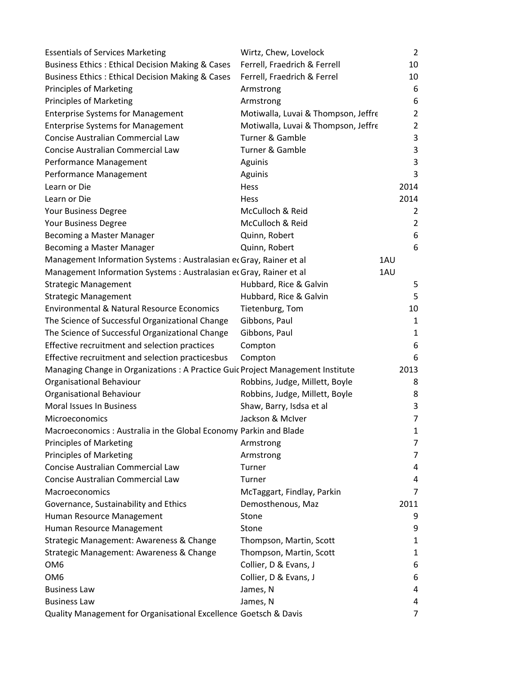| <b>Essentials of Services Marketing</b>                                         | Wirtz, Chew, Lovelock               | $\overline{2}$ |
|---------------------------------------------------------------------------------|-------------------------------------|----------------|
| <b>Business Ethics: Ethical Decision Making &amp; Cases</b>                     | Ferrell, Fraedrich & Ferrell        | 10             |
| <b>Business Ethics: Ethical Decision Making &amp; Cases</b>                     | Ferrell, Fraedrich & Ferrel         | 10             |
| Principles of Marketing                                                         | Armstrong                           | 6              |
| <b>Principles of Marketing</b>                                                  | Armstrong                           | 6              |
| <b>Enterprise Systems for Management</b>                                        | Motiwalla, Luvai & Thompson, Jeffre | 2              |
| <b>Enterprise Systems for Management</b>                                        | Motiwalla, Luvai & Thompson, Jeffre | 2              |
| Concise Australian Commercial Law                                               | Turner & Gamble                     | 3              |
| Concise Australian Commercial Law                                               | Turner & Gamble                     | 3              |
| Performance Management                                                          | Aguinis                             | 3              |
| Performance Management                                                          | Aguinis                             | 3              |
| Learn or Die                                                                    | Hess                                | 2014           |
| Learn or Die                                                                    | Hess                                | 2014           |
| Your Business Degree                                                            | McCulloch & Reid                    | 2              |
| Your Business Degree                                                            | McCulloch & Reid                    | 2              |
| Becoming a Master Manager                                                       | Quinn, Robert                       | 6              |
| Becoming a Master Manager                                                       | Quinn, Robert                       | 6              |
| Management Information Systems : Australasian er Gray, Rainer et al             |                                     | 1AU            |
| Management Information Systems : Australasian er Gray, Rainer et al             |                                     | 1AU            |
| <b>Strategic Management</b>                                                     | Hubbard, Rice & Galvin              | 5              |
| <b>Strategic Management</b>                                                     | Hubbard, Rice & Galvin              | 5              |
| <b>Environmental &amp; Natural Resource Economics</b>                           | Tietenburg, Tom                     | 10             |
| The Science of Successful Organizational Change                                 | Gibbons, Paul                       | 1              |
| The Science of Successful Organizational Change                                 | Gibbons, Paul                       | 1              |
| Effective recruitment and selection practices                                   | Compton                             | 6              |
| Effective recruitment and selection practicesbus                                | Compton                             | 6              |
| Managing Change in Organizations : A Practice Guic Project Management Institute |                                     | 2013           |
| Organisational Behaviour                                                        | Robbins, Judge, Millett, Boyle      | 8              |
| Organisational Behaviour                                                        | Robbins, Judge, Millett, Boyle      | 8              |
| <b>Moral Issues In Business</b>                                                 | Shaw, Barry, Isdsa et al            | 3              |
| Microeconomics                                                                  | Jackson & McIver                    | 7              |
| Macroeconomics : Australia in the Global Economy Parkin and Blade               |                                     | 1              |
| Principles of Marketing                                                         | Armstrong                           | 7              |
| <b>Principles of Marketing</b>                                                  | Armstrong                           | 7              |
| Concise Australian Commercial Law                                               | Turner                              | 4              |
| Concise Australian Commercial Law                                               | Turner                              | 4              |
| Macroeconomics                                                                  | McTaggart, Findlay, Parkin          | 7              |
| Governance, Sustainability and Ethics                                           | Demosthenous, Maz                   | 2011           |
| Human Resource Management                                                       | Stone                               | 9              |
| Human Resource Management                                                       | Stone                               | 9              |
| Strategic Management: Awareness & Change                                        | Thompson, Martin, Scott             | 1              |
| Strategic Management: Awareness & Change                                        | Thompson, Martin, Scott             | 1              |
| OM <sub>6</sub>                                                                 | Collier, D & Evans, J               | 6              |
| OM <sub>6</sub>                                                                 | Collier, D & Evans, J               | 6              |
| <b>Business Law</b>                                                             | James, N                            | 4              |
| <b>Business Law</b>                                                             | James, N                            | 4              |
| Quality Management for Organisational Excellence Goetsch & Davis                |                                     | 7              |